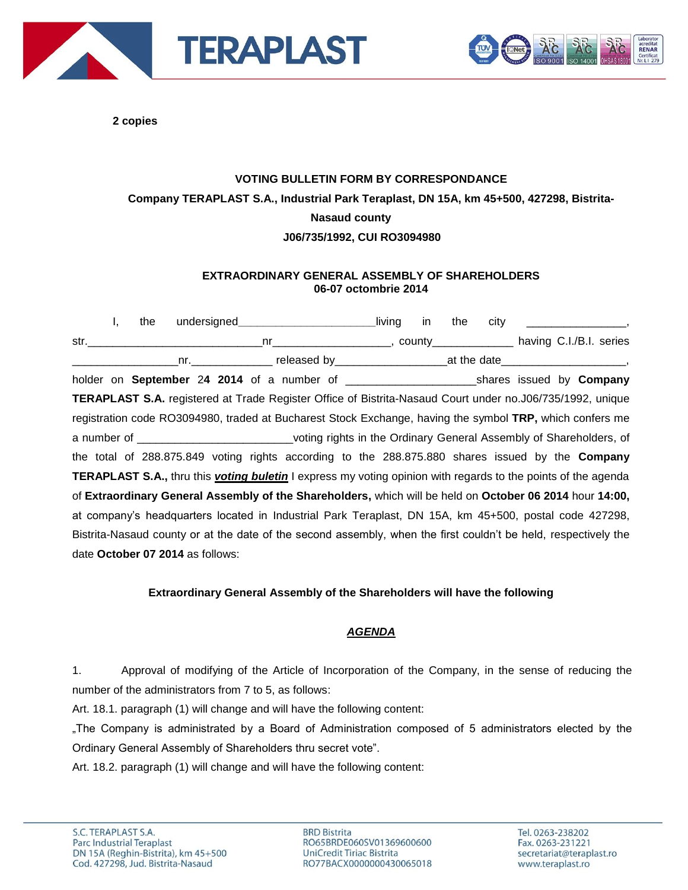



**2 copies**

## **VOTING BULLETIN FORM BY CORRESPONDANCE Company TERAPLAST S.A., Industrial Park Teraplast, DN 15A, km 45+500, 427298, Bistrita-Nasaud county J06/735/1992, CUI RO3094980**

## **EXTRAORDINARY GENERAL ASSEMBLY OF SHAREHOLDERS 06-07 octombrie 2014**

I, the undersigned\_\_\_\_\_\_\_\_\_\_\_\_\_\_\_\_\_\_\_\_\_\_\_\_living in the city str.\_\_\_\_\_\_\_\_\_\_\_\_\_\_\_\_\_\_\_\_\_\_\_\_\_\_\_\_nr\_\_\_\_\_\_\_\_\_\_\_\_\_\_\_\_\_\_\_, county\_\_\_\_\_\_\_\_\_\_\_\_\_ having C.I./B.I. series nr. The preference of the date of the date of the date of the date of the date of the date of the date of the  $\frac{1}{2}$ holder on **September** 2**4 2014** of a number of \_\_\_\_\_\_\_\_\_\_\_\_\_\_\_\_\_\_\_\_\_shares issued by **Company TERAPLAST S.A.** registered at Trade Register Office of Bistrita-Nasaud Court under no.J06/735/1992, unique registration code RO3094980, traded at Bucharest Stock Exchange, having the symbol **TRP,** which confers me a number of \_\_\_\_\_\_\_\_\_\_\_\_\_\_\_\_\_\_\_\_\_\_\_\_\_voting rights in the Ordinary General Assembly of Shareholders, of the total of 288.875.849 voting rights according to the 288.875.880 shares issued by the **Company TERAPLAST S.A.,** thru this *voting buletin* I express my voting opinion with regards to the points of the agenda of **Extraordinary General Assembly of the Shareholders,** which will be held on **October 06 2014** hour **14:00,**  at company's headquarters located in Industrial Park Teraplast, DN 15A, km 45+500, postal code 427298, Bistrita-Nasaud county or at the date of the second assembly, when the first couldn't be held, respectively the date **October 07 2014** as follows:

## **Extraordinary General Assembly of the Shareholders will have the following**

## *AGENDA*

1. Approval of modifying of the Article of Incorporation of the Company, in the sense of reducing the number of the administrators from 7 to 5, as follows:

Art. 18.1. paragraph (1) will change and will have the following content:

"The Company is administrated by a Board of Administration composed of 5 administrators elected by the Ordinary General Assembly of Shareholders thru secret vote".

Art. 18.2. paragraph (1) will change and will have the following content:

**BRD Bistrita** RO65BRDE060SV01369600600 UniCredit Tiriac Bistrita RO77BACX0000000430065018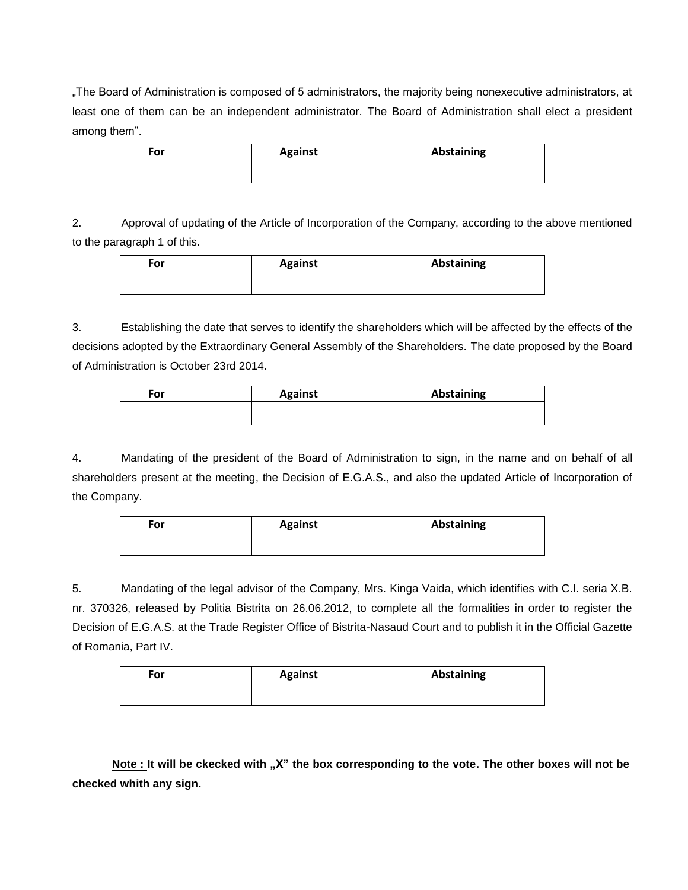"The Board of Administration is composed of 5 administrators, the majority being nonexecutive administrators, at least one of them can be an independent administrator. The Board of Administration shall elect a president among them".

| For | <b>Against</b> | <b>Abstaining</b> |
|-----|----------------|-------------------|
|     |                |                   |

2. Approval of updating of the Article of Incorporation of the Company, according to the above mentioned to the paragraph 1 of this.

| <b>Against</b> | Abstaining |
|----------------|------------|
|                |            |
|                |            |

3. Establishing the date that serves to identify the shareholders which will be affected by the effects of the decisions adopted by the Extraordinary General Assembly of the Shareholders. The date proposed by the Board of Administration is October 23rd 2014.

| For | <b>Against</b> | <b>Abstaining</b> |
|-----|----------------|-------------------|
|     |                |                   |

4. Mandating of the president of the Board of Administration to sign, in the name and on behalf of all shareholders present at the meeting, the Decision of E.G.A.S., and also the updated Article of Incorporation of the Company.

| For | <b>Against</b> | <b>Abstaining</b> |
|-----|----------------|-------------------|
|     |                |                   |
|     |                |                   |

5. Mandating of the legal advisor of the Company, Mrs. Kinga Vaida, which identifies with C.I. seria X.B. nr. 370326, released by Politia Bistrita on 26.06.2012, to complete all the formalities in order to register the Decision of E.G.A.S. at the Trade Register Office of Bistrita-Nasaud Court and to publish it in the Official Gazette of Romania, Part IV.

| For | <b>Against</b> | <b>Abstaining</b> |
|-----|----------------|-------------------|
|     |                |                   |

**Note** : It will be ckecked with "X" the box corresponding to the vote. The other boxes will not be **checked whith any sign.**